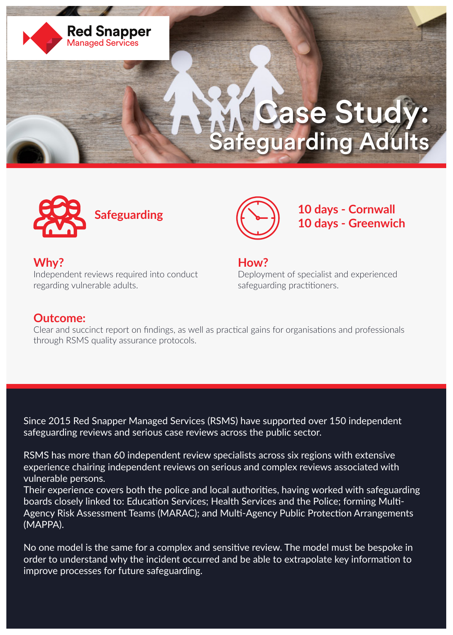

## Case Study: Safeguarding Adults





**Why?** Independent reviews required into conduct regarding vulnerable adults.

**How?** Deployment of specialist and experienced safeguarding practitioners.

## **Outcome:**

Clear and succinct report on findings, as well as practical gains for organisations and professionals through RSMS quality assurance protocols.

Since 2015 Red Snapper Managed Services (RSMS) have supported over 150 independent safeguarding reviews and serious case reviews across the public sector.

RSMS has more than 60 independent review specialists across six regions with extensive experience chairing independent reviews on serious and complex reviews associated with vulnerable persons.

Their experience covers both the police and local authorities, having worked with safeguarding boards closely linked to: Education Services; Health Services and the Police; forming Multi-Agency Risk Assessment Teams (MARAC); and Multi-Agency Public Protection Arrangements (MAPPA).

No one model is the same for a complex and sensitive review. The model must be bespoke in order to understand why the incident occurred and be able to extrapolate key information to improve processes for future safeguarding.